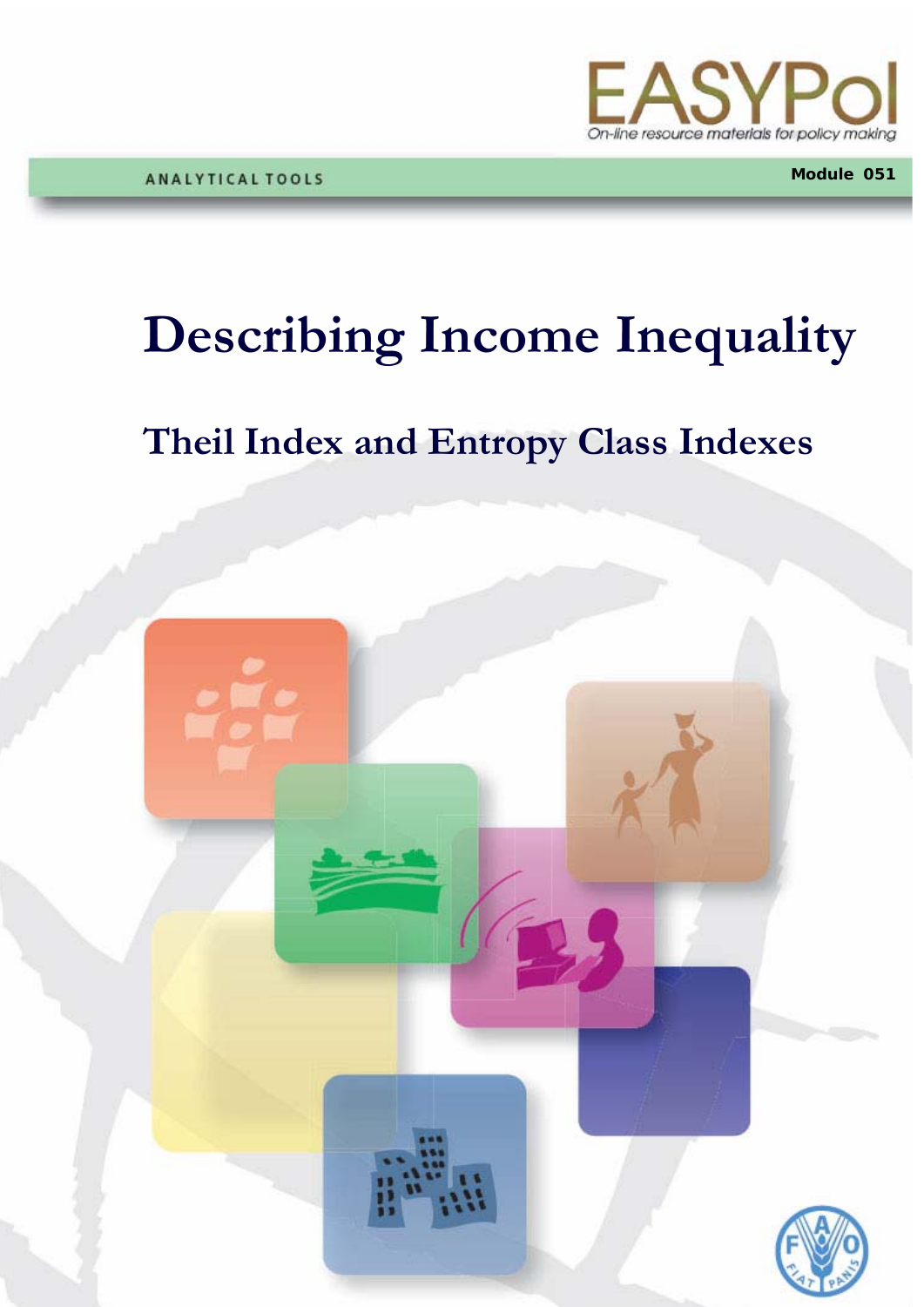

**Module 051**

## **Describing Income Inequality**

### **Theil Index and Entropy Class Indexes**

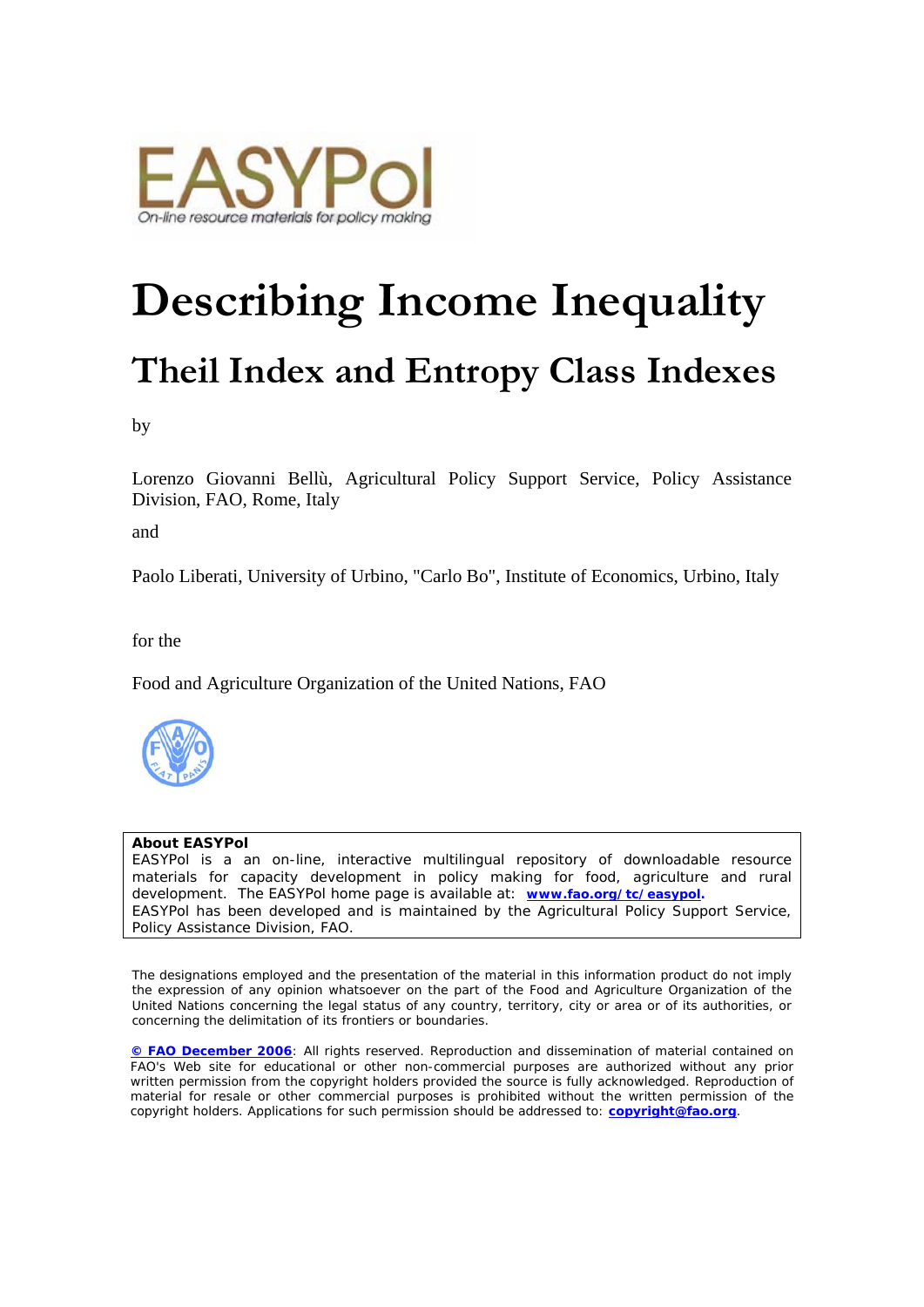

# **Describing Income Inequality Theil Index and Entropy Class Indexes**

by

Lorenzo Giovanni Bellù, Agricultural Policy Support Service, Policy Assistance Division, FAO, Rome, Italy

and

Paolo Liberati, University of Urbino, "Carlo Bo", Institute of Economics, Urbino, Italy

for the

Food and Agriculture Organization of the United Nations, FAO



#### **About EASYPol**

EASYPol is a an on-line, interactive multilingual repository of downloadable resource materials for capacity development in policy making for food, agriculture and rural development. The EASYPol home page is available at: *[www.fao.org/tc/easypol.](http://www.fao.org/tc/easypol)* EASYPol has been developed and is maintained by the Agricultural Policy Support Service, Policy Assistance Division, FAO.

The designations employed and the presentation of the material in this information product do not imply the expression of any opinion whatsoever on the part of the Food and Agriculture Organization of the United Nations concerning the legal status of any country, territory, city or area or of its authorities, or concerning the delimitation of its frontiers or boundaries.

**[© FAO December 2006](http://www.fao.org/copyright_EN.htm)**: All rights reserved. Reproduction and dissemination of material contained on FAO's Web site for educational or other non-commercial purposes are authorized without any prior written permission from the copyright holders provided the source is fully acknowledged. Reproduction of material for resale or other commercial purposes is prohibited without the written permission of the copyright holders. Applications for such permission should be addressed to: **[copyright@fao.org](mailto:copyright@fao.org)**.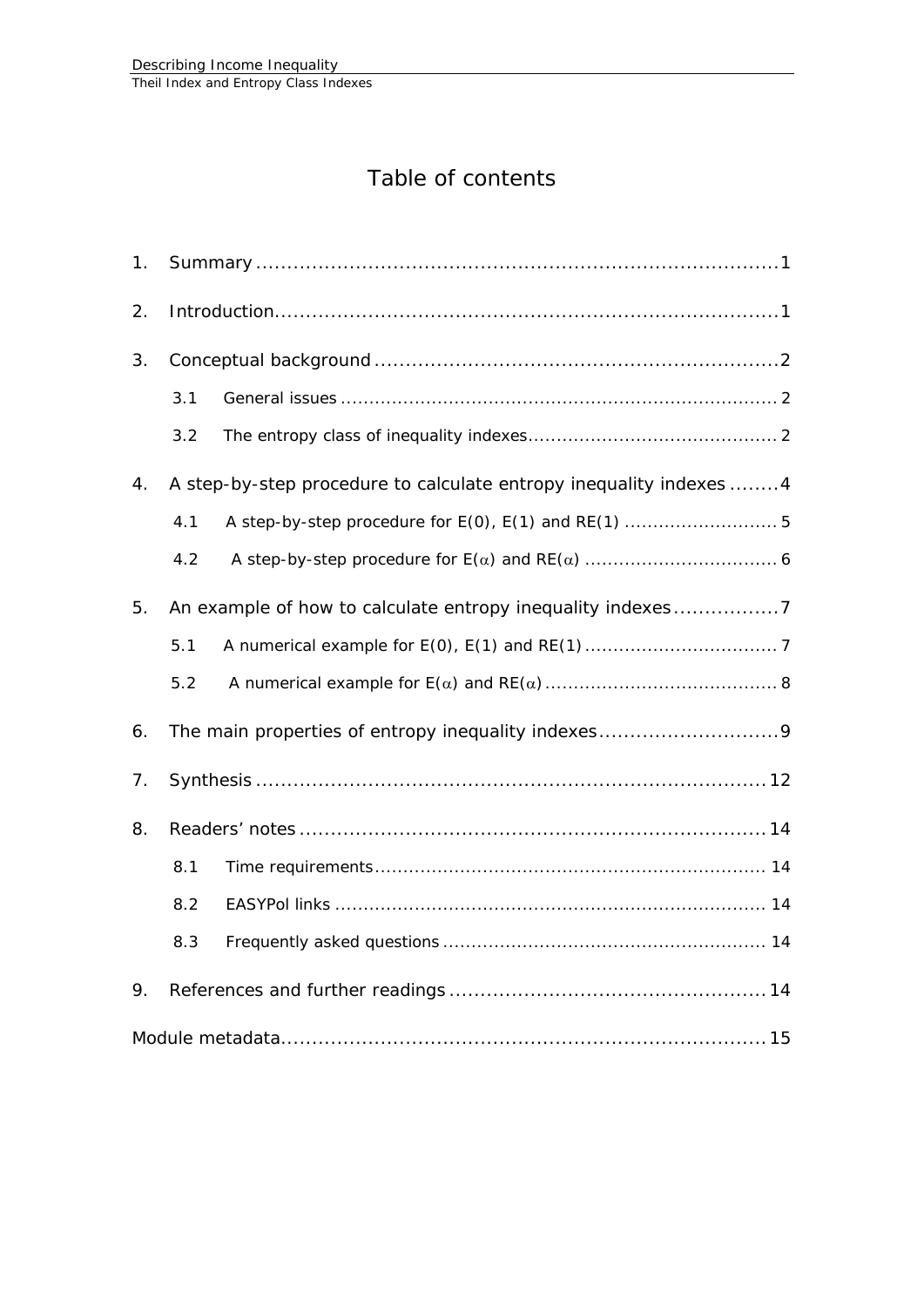### Table of contents

| 1.                                                               |                                                                    |                                                      |  |  |
|------------------------------------------------------------------|--------------------------------------------------------------------|------------------------------------------------------|--|--|
| 2.                                                               |                                                                    |                                                      |  |  |
| 3.                                                               |                                                                    |                                                      |  |  |
|                                                                  | 3.1                                                                |                                                      |  |  |
|                                                                  | 3.2                                                                |                                                      |  |  |
| 4.                                                               | A step-by-step procedure to calculate entropy inequality indexes 4 |                                                      |  |  |
|                                                                  | 4.1                                                                | A step-by-step procedure for E(0), E(1) and RE(1)  5 |  |  |
|                                                                  | 4.2                                                                |                                                      |  |  |
| An example of how to calculate entropy inequality indexes7<br>5. |                                                                    |                                                      |  |  |
|                                                                  | 5.1                                                                |                                                      |  |  |
|                                                                  | 5.2                                                                |                                                      |  |  |
| 6.                                                               |                                                                    |                                                      |  |  |
| 7.                                                               |                                                                    |                                                      |  |  |
| 8.                                                               |                                                                    |                                                      |  |  |
|                                                                  | 8.1                                                                |                                                      |  |  |
|                                                                  | 8.2                                                                |                                                      |  |  |
|                                                                  | 8.3                                                                |                                                      |  |  |
| 9.                                                               |                                                                    |                                                      |  |  |
|                                                                  |                                                                    |                                                      |  |  |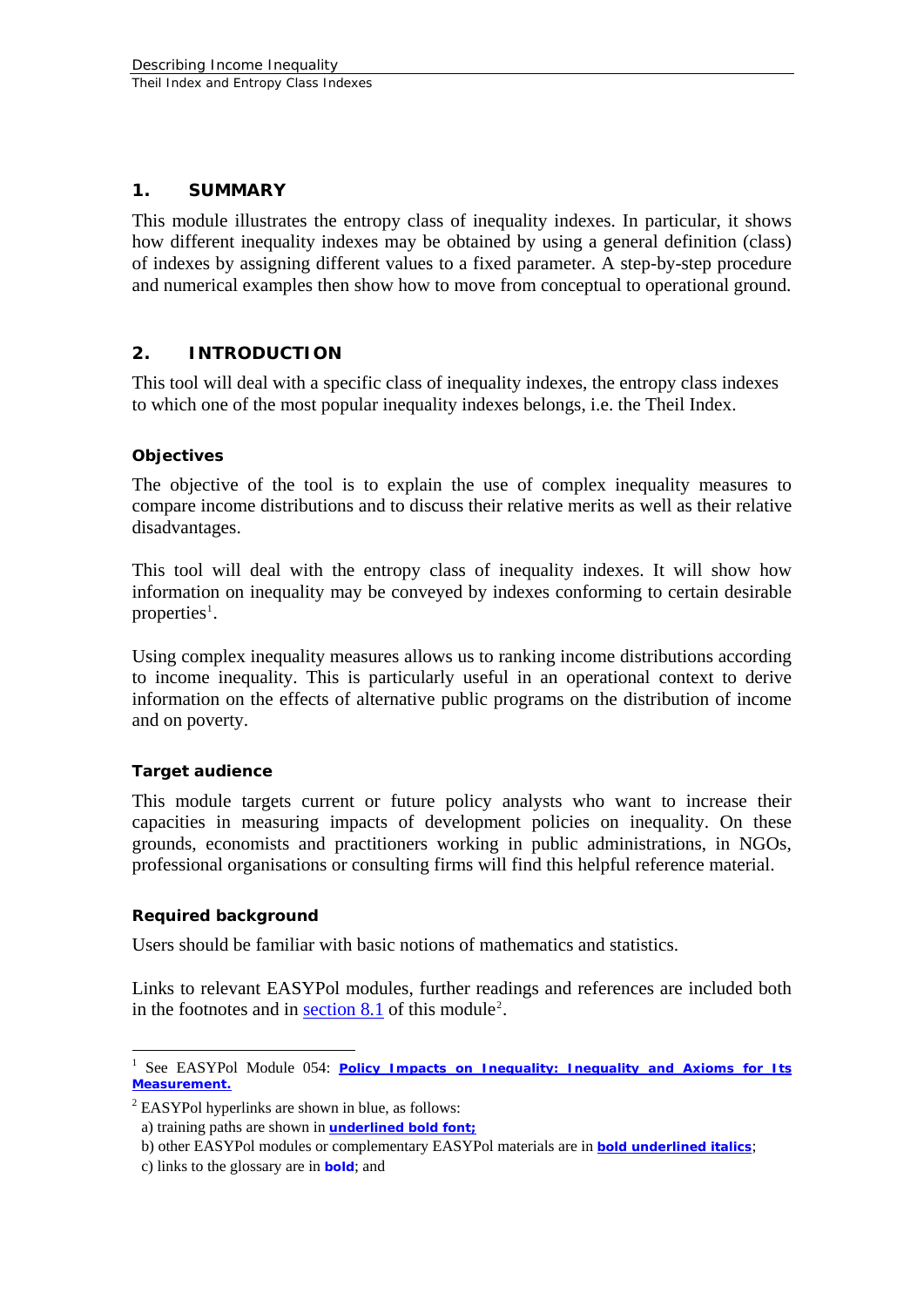#### <span id="page-4-0"></span>**1. SUMMARY**

This module illustrates the entropy class of inequality indexes. In particular, it shows how different inequality indexes may be obtained by using a general definition (class) of indexes by assigning different values to a fixed parameter. A step-by-step procedure and numerical examples then show how to move from conceptual to operational ground.

#### **2. INTRODUCTION**

This tool will deal with a specific class of inequality indexes, the entropy class indexes to which one of the most popular inequality indexes belongs, i.e. the Theil Index.

#### **Objectives**

The objective of the tool is to explain the use of complex inequality measures to compare income distributions and to discuss their relative merits as well as their relative disadvantages.

This tool will deal with the entropy class of inequality indexes. It will show how information on inequality may be conveyed by indexes conforming to certain desirable properties<sup>[1](#page-4-1)</sup>.

Using complex inequality measures allows us to ranking income distributions according to income inequality. This is particularly useful in an operational context to derive information on the effects of alternative public programs on the distribution of income and on poverty.

#### **Target audience**

This module targets current or future policy analysts who want to increase their capacities in measuring impacts of development policies on inequality. On these grounds, economists and practitioners working in public administrations, in NGOs, professional organisations or consulting firms will find this helpful reference material.

#### **Required background**

<u>.</u>

Users should be familiar with basic notions of mathematics and statistics.

Links to relevant EASYPol modules, further readings and references are included both in the footnotes and in section  $8.1$  of this module<sup>[2](#page-4-2)</sup>.

<span id="page-4-1"></span><sup>&</sup>lt;sup>1</sup> See EASYPol Module 054: *Policy Impacts on Inequality: Inequality and Axioms for Its [Measurement](http://www/docs/up/easypol/447/Inqulty_axms_msrmnt_054EN.pdf).*

<span id="page-4-2"></span> $2$  EASYPol hyperlinks are shown in blue, as follows:

a) training paths are shown in **underlined bold font;** 

b) other EASYPol modules or complementary EASYPol materials are in *bold underlined italics*;

c) links to the glossary are in **bold**; and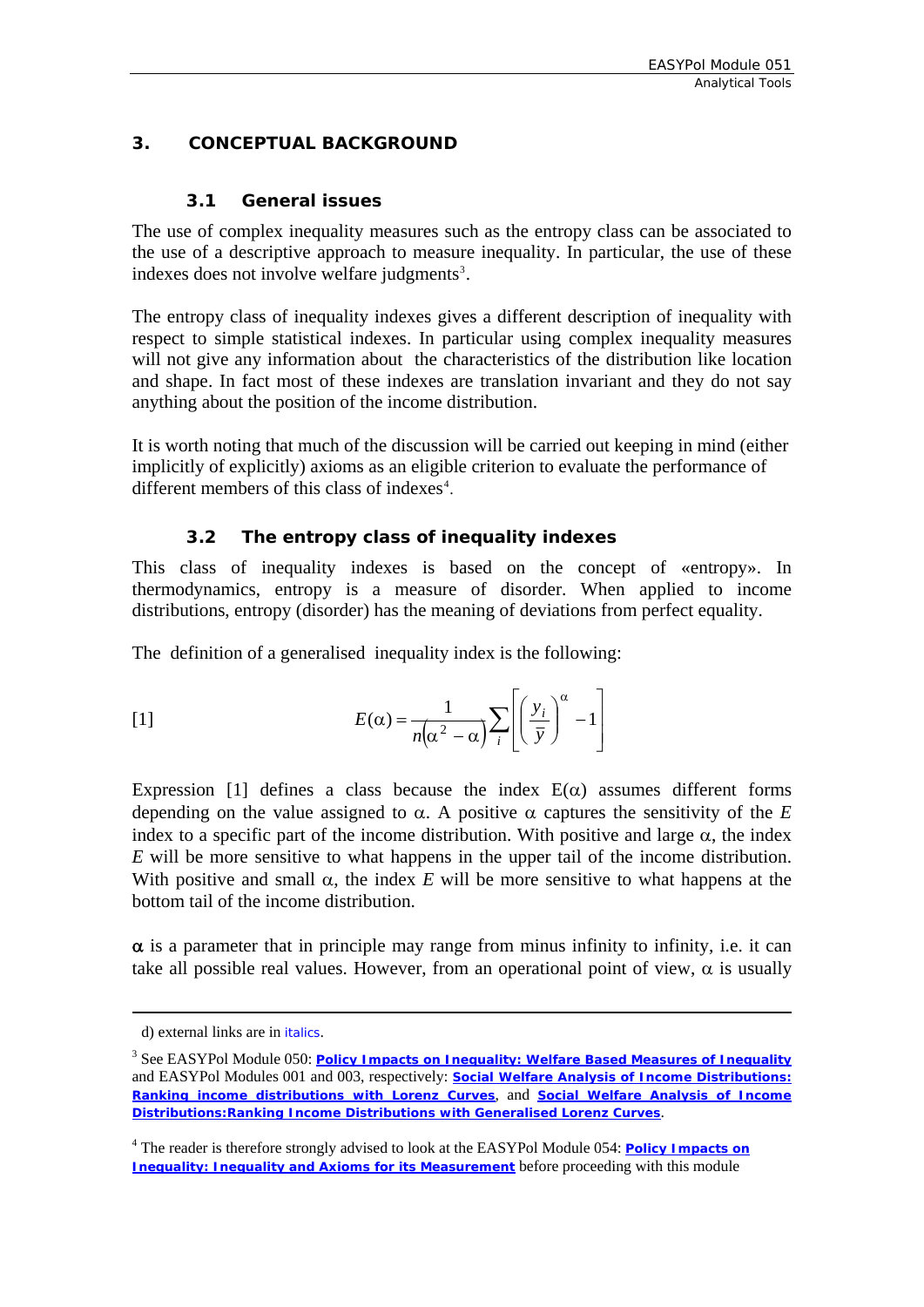#### <span id="page-5-0"></span>**3. CONCEPTUAL BACKGROUND**

#### **3.1 General issues**

The use of complex inequality measures such as the entropy class can be associated to the use of a descriptive approach to measure inequality. In particular, the use of these indexes does not involve welfare judgments<sup>[3](#page-5-1)</sup>.

The entropy class of inequality indexes gives a different description of inequality with respect to simple statistical indexes. In particular using complex inequality measures will not give any information about the characteristics of the distribution like location and shape. In fact most of these indexes are translation invariant and they do not say anything about the position of the income distribution.

It is worth noting that much of the discussion will be carried out keeping in mind (either implicitly of explicitly) axioms as an eligible criterion to evaluate the performance of different members of this class of indexes<sup>[4](#page-5-2)</sup>.

#### **3.2 The entropy class of inequality indexes**

This class of inequality indexes is based on the concept of «entropy». In thermodynamics, entropy is a measure of disorder. When applied to income distributions, entropy (disorder) has the meaning of deviations from perfect equality.

The definition of a generalised inequality index is the following:

[1] 
$$
E(\alpha) = \frac{1}{n(\alpha^2 - \alpha)} \sum_{i} \left[ \left( \frac{y_i}{\bar{y}} \right)^{\alpha} - 1 \right]
$$

Expression [1] defines a class because the index  $E(\alpha)$  assumes different forms depending on the value assigned to  $\alpha$ . A positive  $\alpha$  captures the sensitivity of the *E* index to a specific part of the income distribution. With positive and large  $\alpha$ , the index *E* will be more sensitive to what happens in the upper tail of the income distribution. With positive and small  $\alpha$ , the index *E* will be more sensitive to what happens at the bottom tail of the income distribution.

 $\alpha$  is a parameter that in principle may range from minus infinity to infinity, i.e. it can take all possible real values. However, from an operational point of view,  $\alpha$  is usually

1

d) external links are in *italics*.

<span id="page-5-1"></span><sup>&</sup>lt;sup>3</sup> See EASYPol Module 050: <u>[Policy Impacts on Inequality: Welfare Based Measures of Inequality](http://www/docs/up/easypol/451/welfare_measures_inequa_atkinson_050EN.pdf)</u> and EASYPol Modules 001 and 003, respectively: *[Social Welfare Analysis of Income Distributions:](http://www.fao.org/docs/up/easypol/305/swa_lorenz_curves_001EN.pdf)  [Ranking income distributions with Lorenz Curves](http://www.fao.org/docs/up/easypol/305/swa_lorenz_curves_001EN.pdf)*, and *[Social Welfare Analysis of Income](http://www.fao.org/docs/up/easypol/307/swa_crsgenlc_003EN.pdf)  [Distributions:Ranking Income Distributions with Generalised Lorenz Curves](http://www.fao.org/docs/up/easypol/307/swa_crsgenlc_003EN.pdf)*.

<span id="page-5-2"></span><sup>&</sup>lt;sup>4</sup> The reader is therefore strongly advised to look at the EASYPol Module 054: **Policy Impacts on** *[Inequality: Inequality and Axioms for its Measurement](http://www/docs/up/easypol/447/Inqulty_axms_msrmnt_054EN.pdf)* before proceeding with this module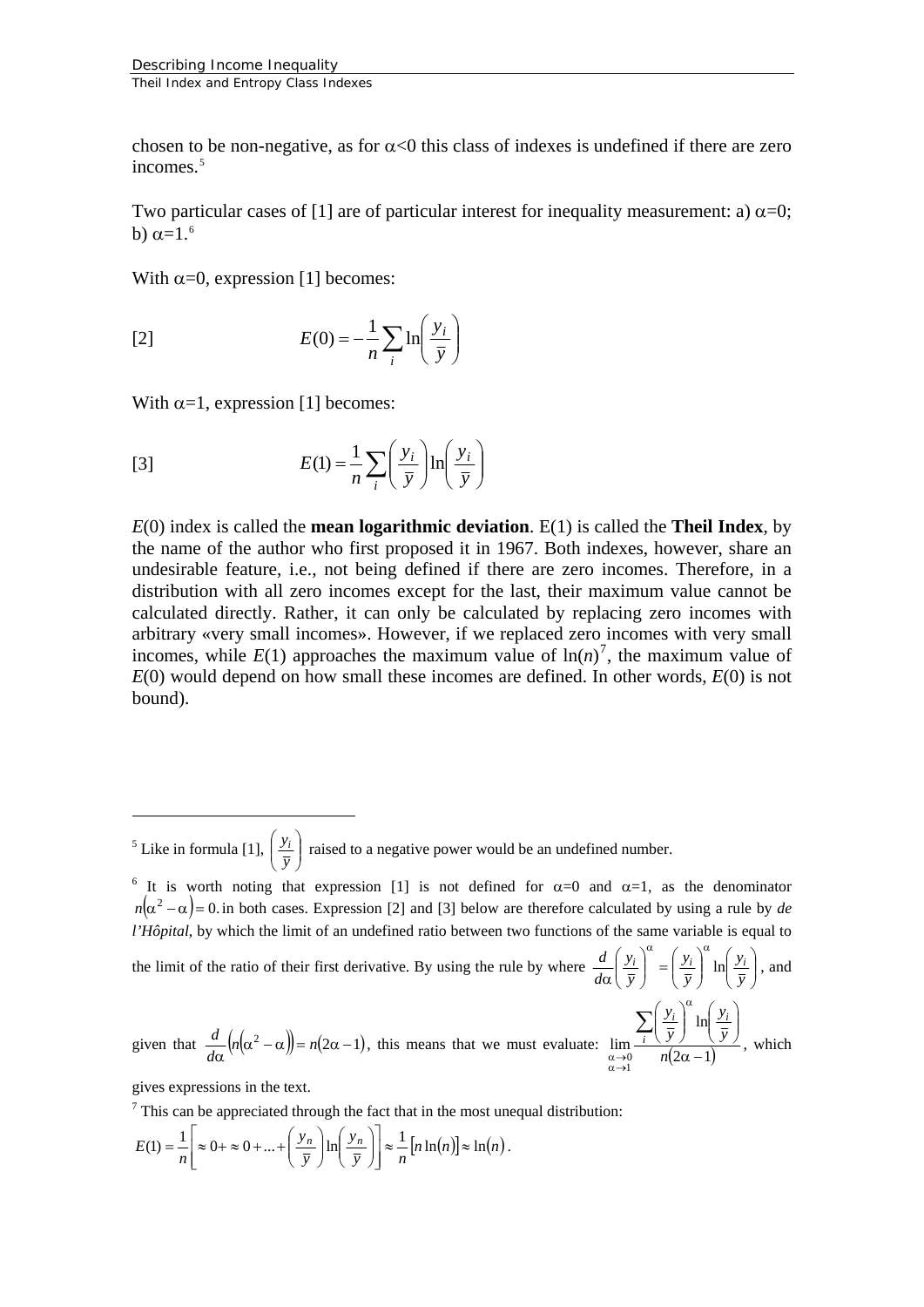<span id="page-6-3"></span>chosen to be non-negative, as for  $\alpha$ <0 this class of indexes is undefined if there are zero incomes.<sup>[5](#page-6-0)</sup>

Two particular cases of [1] are of particular interest for inequality measurement: a)  $\alpha$ =0; b)  $\alpha$ =1.<sup>[6](#page-6-1)</sup>

With  $\alpha=0$ , expression [1] becomes:

$$
E(0) = -\frac{1}{n} \sum_{i} \ln\left(\frac{y_i}{\bar{y}}\right)
$$

With  $\alpha=1$ , expression [1] becomes:

[3] 
$$
E(1) = \frac{1}{n} \sum_{i} \left( \frac{y_i}{\overline{y}} \right) \ln \left( \frac{y_i}{\overline{y}} \right)
$$

*E*(0) index is called the **mean logarithmic deviation**. E(1) is called the **Theil Index**, by the name of the author who first proposed it in 1967. Both indexes, however, share an undesirable feature, i.e., not being defined if there are zero incomes. Therefore, in a distribution with all zero incomes except for the last, their maximum value cannot be calculated directly. Rather, it can only be calculated by replacing zero incomes with arbitrary «very small incomes». However, if we replaced zero incomes with very small incomes, while  $E(1)$  approaches the maximum value of  $\ln(n)^7$  $\ln(n)^7$ , the maximum value of *E*(0) would depend on how small these incomes are defined. In other words, *E*(0) is not bound).

<span id="page-6-0"></span><sup>5</sup> Like in formula [1],  $\left| \frac{y_i}{\overline{y}} \right|$ ⎠ ⎞  $\parallel$ ⎝ ⎛  $\left(\frac{y_i}{\bar{y}}\right)$  raised to a negative power would be an undefined number.

<span id="page-6-1"></span><sup>6</sup> It is worth noting that expression [1] is not defined for  $\alpha=0$  and  $\alpha=1$ , as the denominator  $n(\alpha^2 - \alpha) = 0$  in both cases. Expression [2] and [3] below are therefore calculated by using a rule by *de l'Hôpital*, by which the limit of an undefined ratio between two functions of the same variable is equal to

the limit of the ratio of their first derivative. By using the rule by where  $\frac{a}{d\alpha} \left| \frac{y_i}{\bar{x}} \right| = \left| \frac{y_i}{\bar{x}} \right| \ln \left| \frac{y_i}{\bar{x}} \right|$ 

given that 
$$
\frac{d}{d\alpha} \left( n(\alpha^2 - \alpha) \right) = n(2\alpha - 1)
$$
, this means that we must evaluate:  $\lim_{\substack{\alpha \to 0 \\ \alpha \to 1}} \frac{\sum_{i=1}^{\infty} \left( \frac{y_i}{\overline{y}} \right)^{\alpha} \ln \left( \frac{y_i}{\overline{y}} \right)}{n(2\alpha - 1)}$ , which

⎠ ⎞  $\parallel$ ⎝  $\big($ 

*y y*

 $\overline{\phantom{a}}$ ⎠ ⎞  $\mid$  $\int^{\alpha} = \left($ ⎠ ⎞  $\parallel$ ⎝  $\big($ α

 $rac{d}{d\alpha}\left(\frac{y_i}{\overline{y}}\right)^{x} = \left(\frac{y_i}{\overline{y}}\right)^{x} \ln\left(\frac{y_i}{\overline{y}}\right)$ , and

*y y*

 $\alpha$   $\alpha$ 

*y y*

gives expressions in the text.

1

<span id="page-6-2"></span> $<sup>7</sup>$  This can be appreciated through the fact that in the most unequal distribution:</sup>

$$
E(1) = \frac{1}{n} \left[ \approx 0 + \approx 0 + ... + \left( \frac{y_n}{\overline{y}} \right) \ln \left( \frac{y_n}{\overline{y}} \right) \right] \approx \frac{1}{n} \left[ n \ln(n) \right] \approx \ln(n).
$$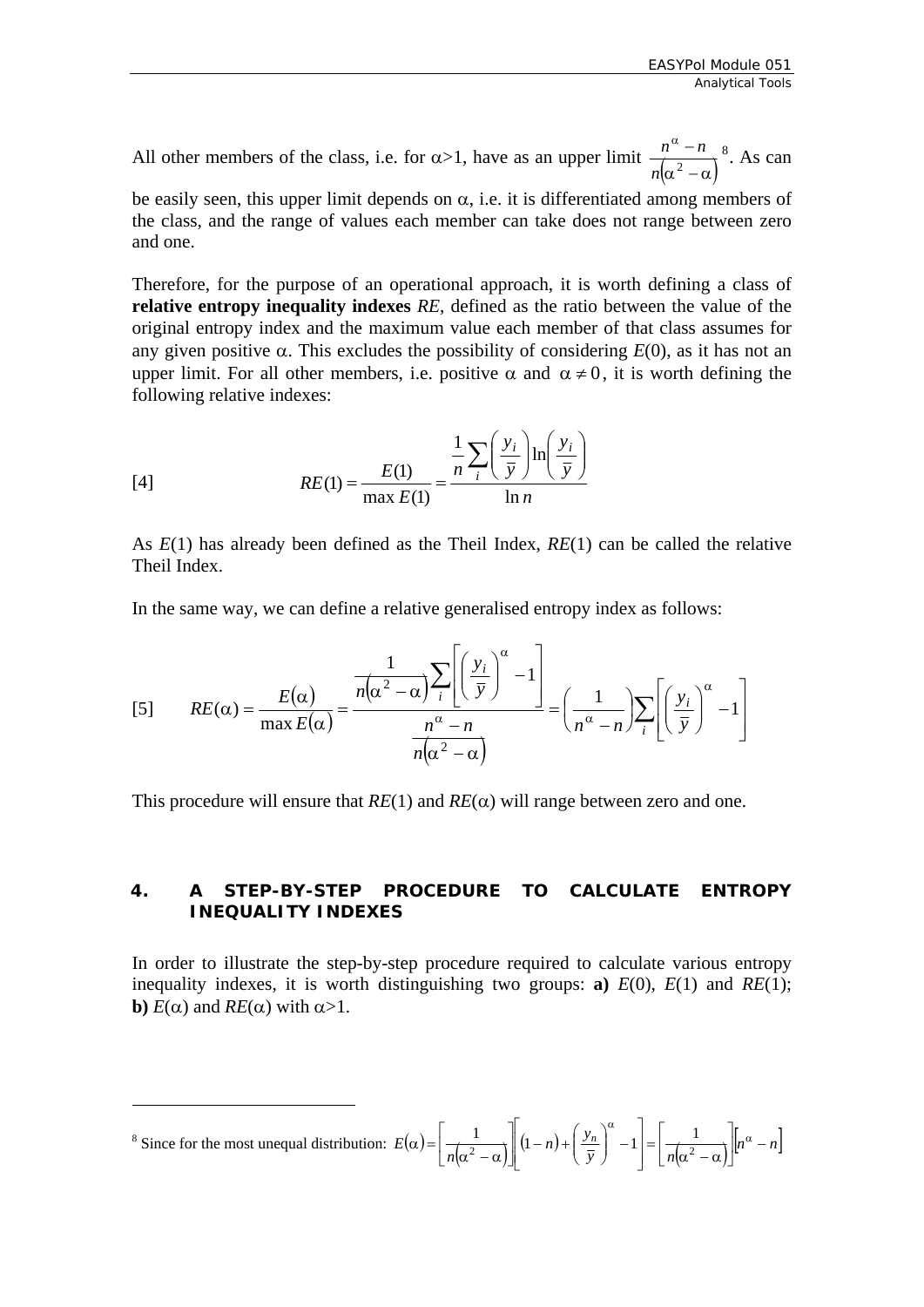<span id="page-7-0"></span>All other members of the class, i.e. for  $\alpha > 1$ , have as an upper limit  $\frac{n^{\alpha} - n}{n(\alpha^2 - \alpha)}$  $\frac{n^{\alpha}-n}{\alpha}$ <sup>8</sup>. As can

be easily seen, this upper limit depends on  $\alpha$ , i.e. it is differentiated among members of [the class, and the range of values each member can take does not range between zero](#page-7-1)  [and one.](#page-7-1) 

Therefore, for the purpose of an operational approach, it is worth defining a class of **relative entropy inequality indexes** *RE*, defined as the ratio between the value of the original entropy index and the maximum value each member of that class assumes for any given positive  $\alpha$ . This excludes the possibility of considering  $E(0)$ , as it has not an upper limit. For all other members, i.e. positive  $\alpha$  and  $\alpha \neq 0$ , it is worth defining the following relative indexes:

[4]  

$$
RE(1) = \frac{E(1)}{\max E(1)} = \frac{\frac{1}{n} \sum_{i} \left(\frac{y_i}{\bar{y}}\right) \ln\left(\frac{y_i}{\bar{y}}\right)}{\ln n}
$$

As *E*(1) has already been defined as the Theil Index, *RE*(1) can be called the relative Theil Index.

In the same way, we can define a relative generalised entropy index as follows:

$$
[5] \qquad RE(\alpha) = \frac{E(\alpha)}{\max E(\alpha)} = \frac{\frac{1}{n(\alpha^2 - \alpha)} \sum_{i} \left[ \left( \frac{y_i}{\bar{y}} \right)^{\alpha} - 1 \right]}{\frac{n^{\alpha} - n}{n(\alpha^2 - \alpha)}} = \left( \frac{1}{n^{\alpha} - n} \right) \sum_{i} \left[ \left( \frac{y_i}{\bar{y}} \right)^{\alpha} - 1 \right]
$$

This procedure will ensure that  $RE(1)$  and  $RE(\alpha)$  will range between zero and one.

#### **4. A STEP-BY-STEP PROCEDURE TO CALCULATE ENTROPY INEQUALITY INDEXES**

In order to illustrate the step-by-step procedure required to calculate various entropy inequality indexes, it is worth distinguishing two groups: **a**)  $E(0)$ ,  $E(1)$  and  $RE(1)$ ; **b**)  $E(\alpha)$  and  $RE(\alpha)$  with  $\alpha > 1$ .

1

<span id="page-7-1"></span><sup>&</sup>lt;sup>8</sup> Since for the most unequal distribution:  $E(\alpha) = \left[ \frac{1}{n(\alpha^2 - \alpha)} \right] (1 - n) + \left( \frac{y_n}{\overline{y}} \right)^{\alpha} - 1 = \left[ \frac{1}{n(\alpha^2 - \alpha)} \right] [n^{\alpha} - n]$  $\frac{1}{\sqrt{2}}$ ⎣  $= \frac{1}{n(\alpha^2 - \alpha)}$  $\overline{\phantom{a}}$ ⎦ ⎤  $\parallel$  $\parallel$ ⎣  $\mathsf I$  $\vert$  − ⎠ ⎞  $\parallel$ ⎝  $\left( (1-n) + \right)$  $\overline{\phantom{a}}$  $\frac{1}{\sqrt{2}}$ ⎣  $\mathsf I$  $\alpha^2-\alpha$  $\left| \alpha \right| = \left| \frac{1}{\alpha} \right| \left| (1-n) + \left| \frac{y_n}{\alpha} \right| - 1 \right| = \left| \frac{1}{\alpha} \right| \left| n^{\alpha} \right|$ α  $\frac{1}{2}$   $\left| (1-n)+\left(\frac{y_n}{\overline{y}}\right)^{n} -1 \right| = \frac{1}{\sqrt{2}}$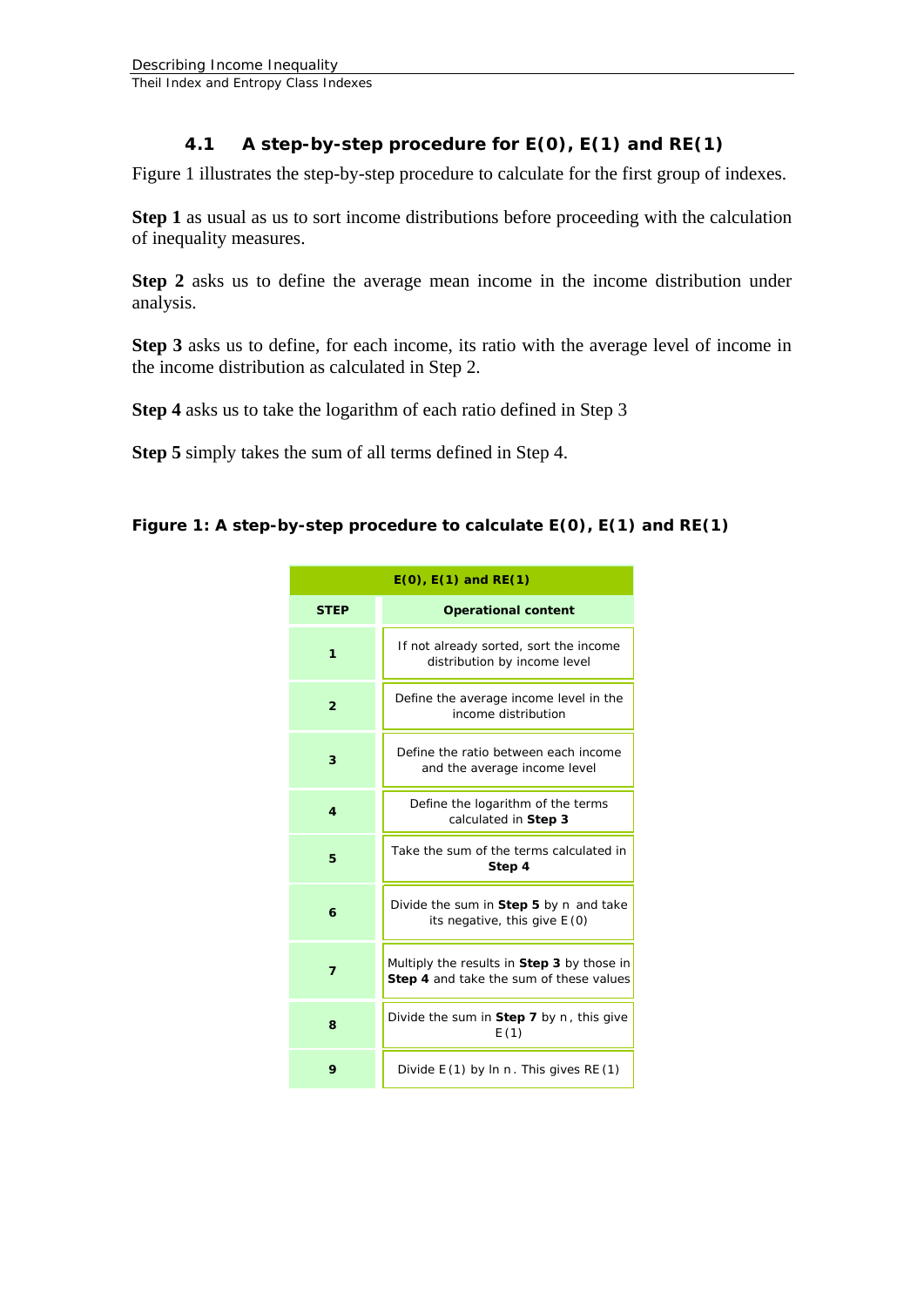#### **4.1 A step-by-step procedure for E(0), E(1) and RE(1)**

<span id="page-8-0"></span>Figure 1 illustrates the step-by-step procedure to calculate for the first group of indexes.

**Step 1** as usual as us to sort income distributions before proceeding with the calculation of inequality measures.

**Step 2** asks us to define the average mean income in the income distribution under analysis.

**Step 3** asks us to define, for each income, its ratio with the average level of income in the income distribution as calculated in Step 2.

**Step 4** asks us to take the logarithm of each ratio defined in Step 3

**Step 5** simply takes the sum of all terms defined in Step 4.

#### **Figure 1: A step-by-step procedure to calculate** *E***(0),** *E***(1) and** *RE***(1)**

| $E(0)$ , $E(1)$ and $RE(1)$ |                                                                                       |  |
|-----------------------------|---------------------------------------------------------------------------------------|--|
| <b>STEP</b>                 | <b>Operational content</b>                                                            |  |
| 1                           | If not already sorted, sort the income<br>distribution by income level                |  |
| $\overline{2}$              | Define the average income level in the<br>income distribution                         |  |
| 3                           | Define the ratio between each income<br>and the average income level                  |  |
| 4                           | Define the logarithm of the terms<br>calculated in Step 3                             |  |
| 5                           | Take the sum of the terms calculated in<br>Step 4                                     |  |
| 6                           | Divide the sum in Step 5 by $n$ and take<br>its negative, this give $E(0)$            |  |
| $\overline{ }$              | Multiply the results in Step 3 by those in<br>Step 4 and take the sum of these values |  |
| 8                           | Divide the sum in Step 7 by $n$ , this give<br>E(1)                                   |  |
| 9                           | Divide $E(1)$ by In n. This gives $RE(1)$                                             |  |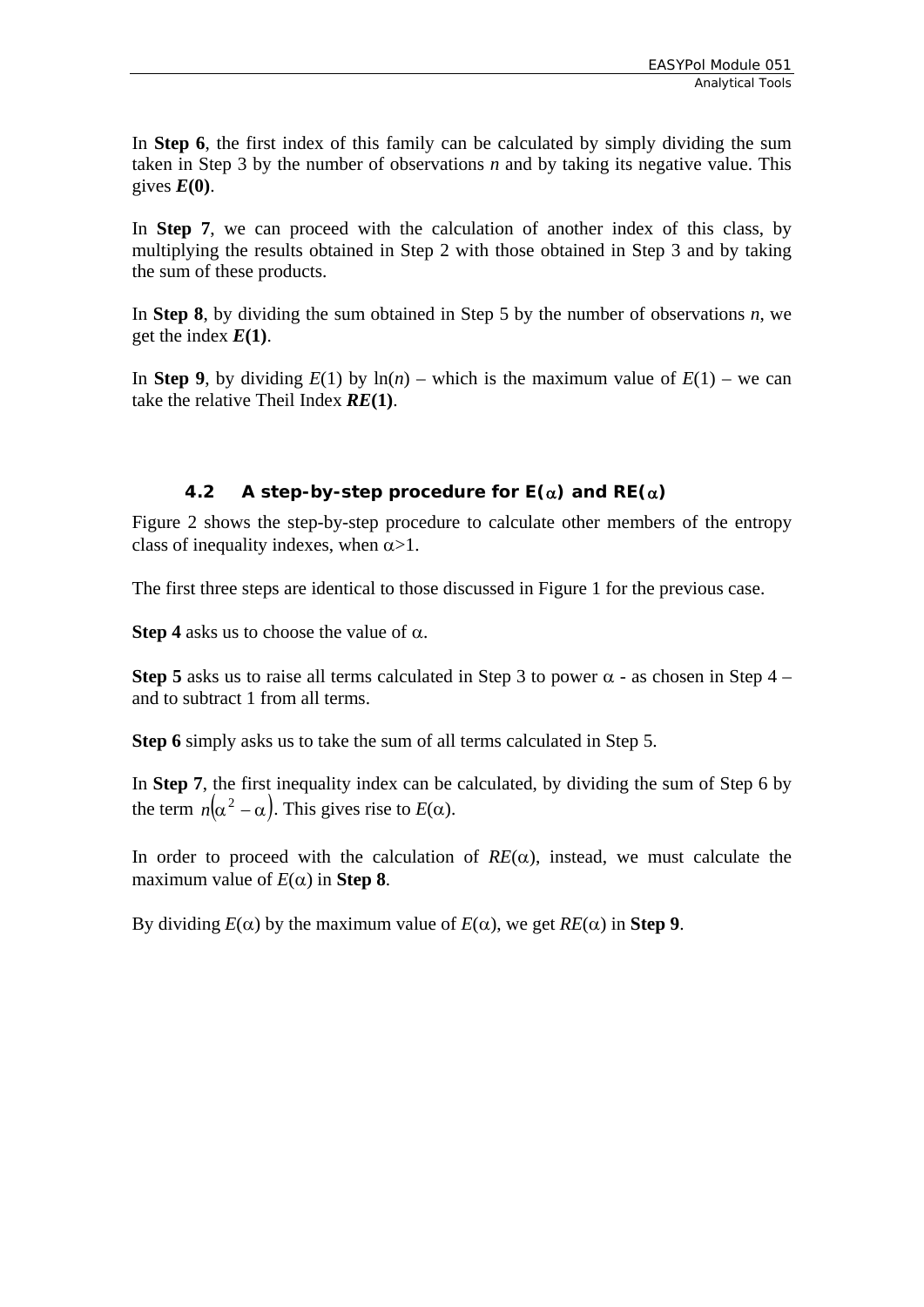<span id="page-9-0"></span>In **Step 6**, the first index of this family can be calculated by simply dividing the sum taken in Step 3 by the number of observations *n* and by taking its negative value. This gives  $E(0)$ .

In **Step 7**, we can proceed with the calculation of another index of this class, by multiplying the results obtained in Step 2 with those obtained in Step 3 and by taking the sum of these products.

In **Step 8**, by dividing the sum obtained in Step 5 by the number of observations *n*, we get the index *E***(1)**.

In **Step 9**, by dividing  $E(1)$  by  $\ln(n)$  – which is the maximum value of  $E(1)$  – we can take the relative Theil Index *RE***(1)**.

#### **4.2 A step-by-step procedure for E(**α**) and RE(**α**)**

Figure 2 shows the step-by-step procedure to calculate other members of the entropy class of inequality indexes, when  $\alpha > 1$ .

The first three steps are identical to those discussed in Figure 1 for the previous case.

**Step 4** asks us to choose the value of  $\alpha$ .

**Step 5** asks us to raise all terms calculated in Step 3 to power  $\alpha$  - as chosen in Step 4 – and to subtract 1 from all terms.

**Step 6** simply asks us to take the sum of all terms calculated in Step 5.

In **Step 7**, the first inequality index can be calculated, by dividing the sum of Step 6 by the term  $n(\alpha^2 - \alpha)$ . This gives rise to  $E(\alpha)$ .

In order to proceed with the calculation of  $RE(\alpha)$ , instead, we must calculate the maximum value of  $E(\alpha)$  in **Step 8**.

By dividing  $E(α)$  by the maximum value of  $E(α)$ , we get  $RE(α)$  in **Step 9**.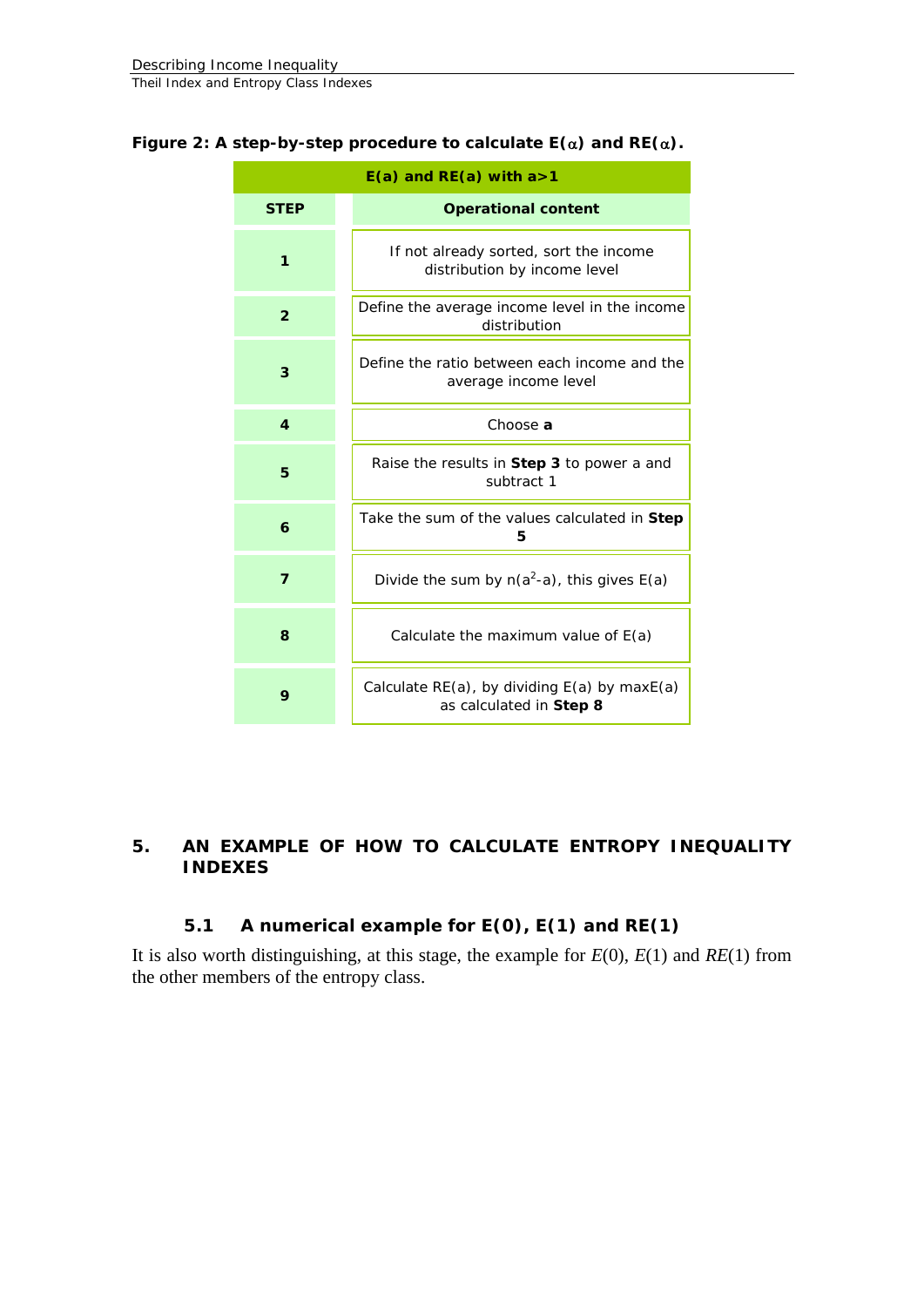| $E(a)$ and RE(a) with a > 1 |                                                                                 |  |  |
|-----------------------------|---------------------------------------------------------------------------------|--|--|
| <b>STEP</b>                 | <b>Operational content</b>                                                      |  |  |
| 1                           | If not already sorted, sort the income<br>distribution by income level          |  |  |
| $\overline{2}$              | Define the average income level in the income<br>distribution                   |  |  |
| 3                           | Define the ratio between each income and the<br>average income level            |  |  |
| 4                           | Choose a                                                                        |  |  |
| 5                           | Raise the results in Step 3 to power a and<br>subtract 1                        |  |  |
| 6                           | Take the sum of the values calculated in Step<br>5                              |  |  |
| $\overline{7}$              | Divide the sum by $n(a^2-a)$ , this gives $E(a)$                                |  |  |
| 8                           | Calculate the maximum value of $E(a)$                                           |  |  |
| 9                           | Calculate $RE(a)$ , by dividing $E(a)$ by max $E(a)$<br>as calculated in Step 8 |  |  |

#### <span id="page-10-0"></span>**Figure 2: A step-by-step procedure to calculate** *E***(**α**) and** *RE***(**α**).**

#### **5. AN EXAMPLE OF HOW TO CALCULATE ENTROPY INEQUALITY INDEXES**

#### **5.1 A numerical example for** *E***(0),** *E***(1) and** *RE***(1)**

It is also worth distinguishing, at this stage, the example for *E*(0), *E*(1) and *RE*(1) from the other members of the entropy class.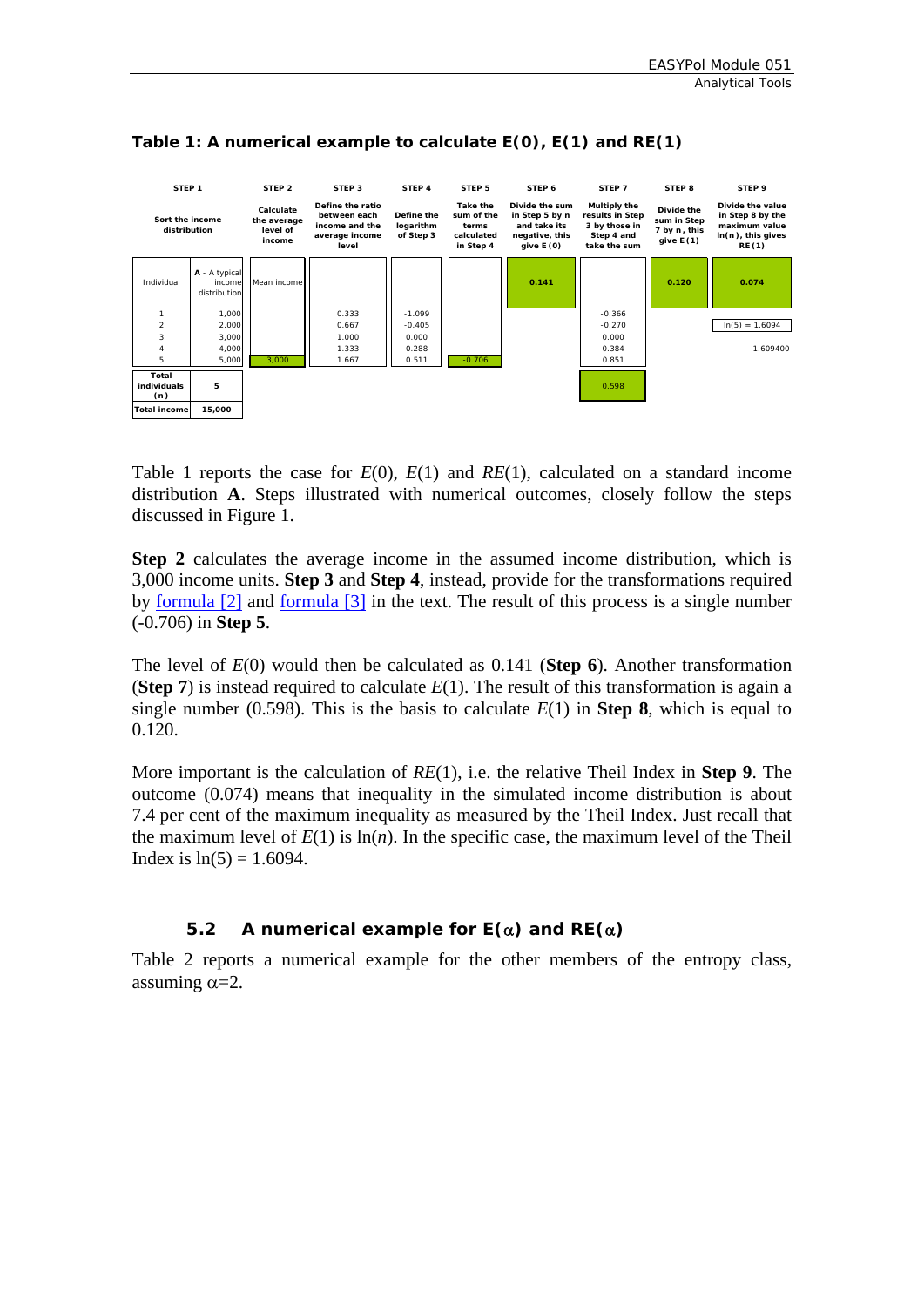

#### <span id="page-11-0"></span>**Table 1: A numerical example to calculate** *E***(0),** *E***(1) and** *RE***(1)**

Table 1 reports the case for *E*(0), *E*(1) and *RE*(1), calculated on a standard income distribution **A**. Steps illustrated with numerical outcomes, closely follow the steps discussed in Figure 1.

**Step 2** calculates the average income in the assumed income distribution, which is 3,000 income units. **Step 3** and **Step 4**, instead, provide for the transformations required by <u>[formula \[2\]](#page-6-3)</u> and <u>formula [3]</u> in the text. The result of this process is a single number (-0.706) in **Step 5**.

The level of *E*(0) would then be calculated as 0.141 (**Step 6**). Another transformation (**Step 7**) is instead required to calculate  $E(1)$ . The result of this transformation is again a single number (0.598). This is the basis to calculate  $E(1)$  in **Step 8**, which is equal to 0.120.

More important is the calculation of *RE*(1), i.e. the relative Theil Index in **Step 9**. The outcome (0.074) means that inequality in the simulated income distribution is about 7.4 per cent of the maximum inequality as measured by the Theil Index. Just recall that the maximum level of  $E(1)$  is  $\ln(n)$ . In the specific case, the maximum level of the Theil Index is  $ln(5) = 1.6094$ .

#### **5.2 A numerical example for** *E***(**α**) and** *RE***(**α**)**

Table 2 reports a numerical example for the other members of the entropy class, assuming  $\alpha = 2$ .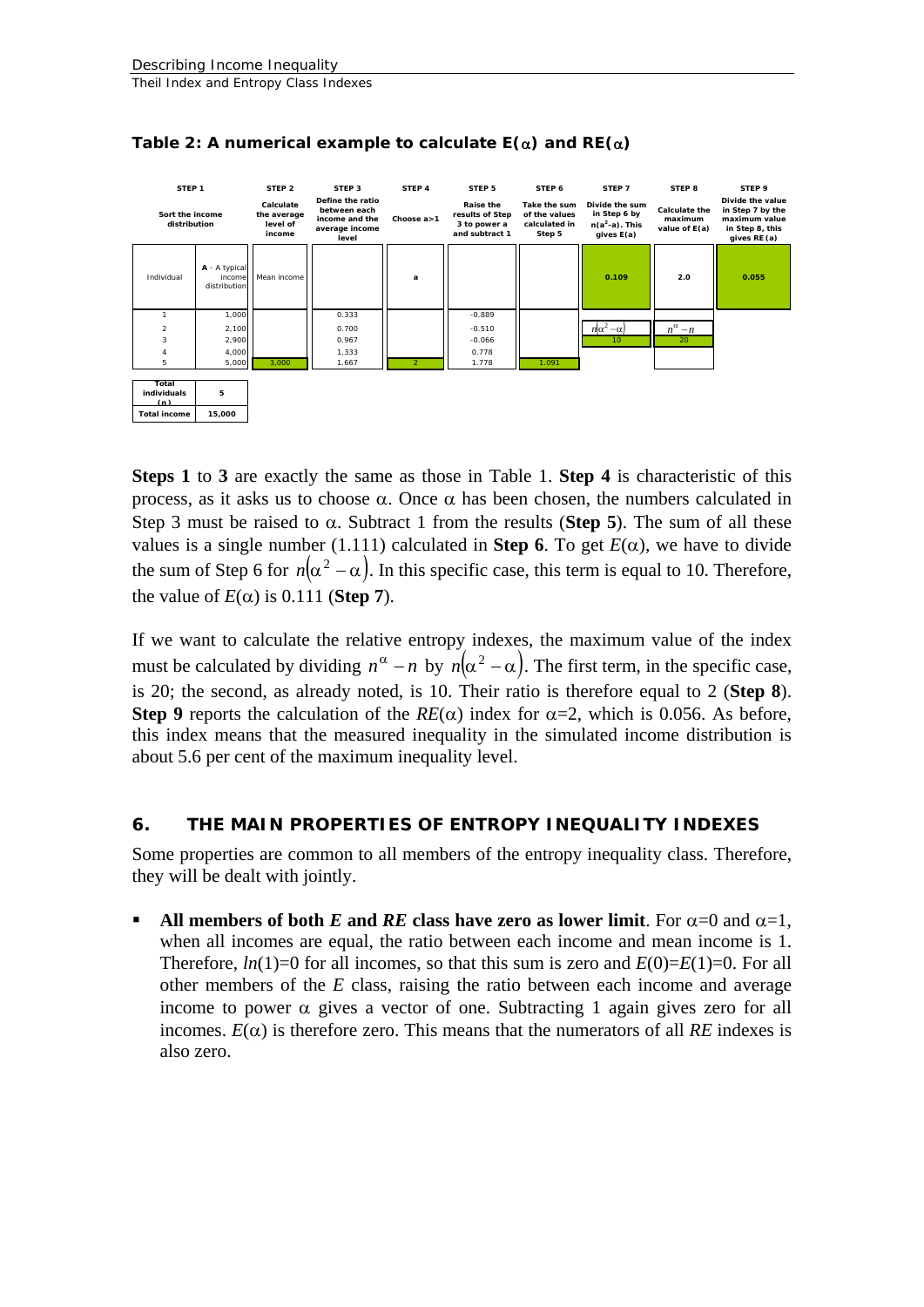

<span id="page-12-0"></span>

**Steps 1** to **3** are exactly the same as those in Table 1. **Step 4** is characteristic of this process, as it asks us to choose α. Once α has been chosen, the numbers calculated in Step 3 must be raised to  $\alpha$ . Subtract 1 from the results (**Step 5**). The sum of all these values is a single number (1.111) calculated in **Step 6**. To get *E*(α), we have to divide the sum of Step 6 for  $n(\alpha^2 - \alpha)$ . In this specific case, this term is equal to 10. Therefore, the value of  $E(\alpha)$  is 0.111 (**Step 7**).

If we want to calculate the relative entropy indexes, the maximum value of the index must be calculated by dividing  $n^{\alpha} - n$  by  $n(\alpha^2 - \alpha)$ . The first term, in the specific case, is 20; the second, as already noted, is 10. Their ratio is therefore equal to 2 (**Step 8**). **Step 9** reports the calculation of the  $RE(\alpha)$  index for  $\alpha=2$ , which is 0.056. As before, this index means that the measured inequality in the simulated income distribution is about 5.6 per cent of the maximum inequality level.

#### **6. THE MAIN PROPERTIES OF ENTROPY INEQUALITY INDEXES**

Some properties are common to all members of the entropy inequality class. Therefore, they will be dealt with jointly.

All members of both *E* and *RE* class have zero as lower limit. For  $\alpha=0$  and  $\alpha=1$ , when all incomes are equal, the ratio between each income and mean income is 1. Therefore,  $ln(1)=0$  for all incomes, so that this sum is zero and  $E(0)=E(1)=0$ . For all other members of the *E* class, raising the ratio between each income and average income to power  $\alpha$  gives a vector of one. Subtracting 1 again gives zero for all incomes.  $E(\alpha)$  is therefore zero. This means that the numerators of all *RE* indexes is also zero.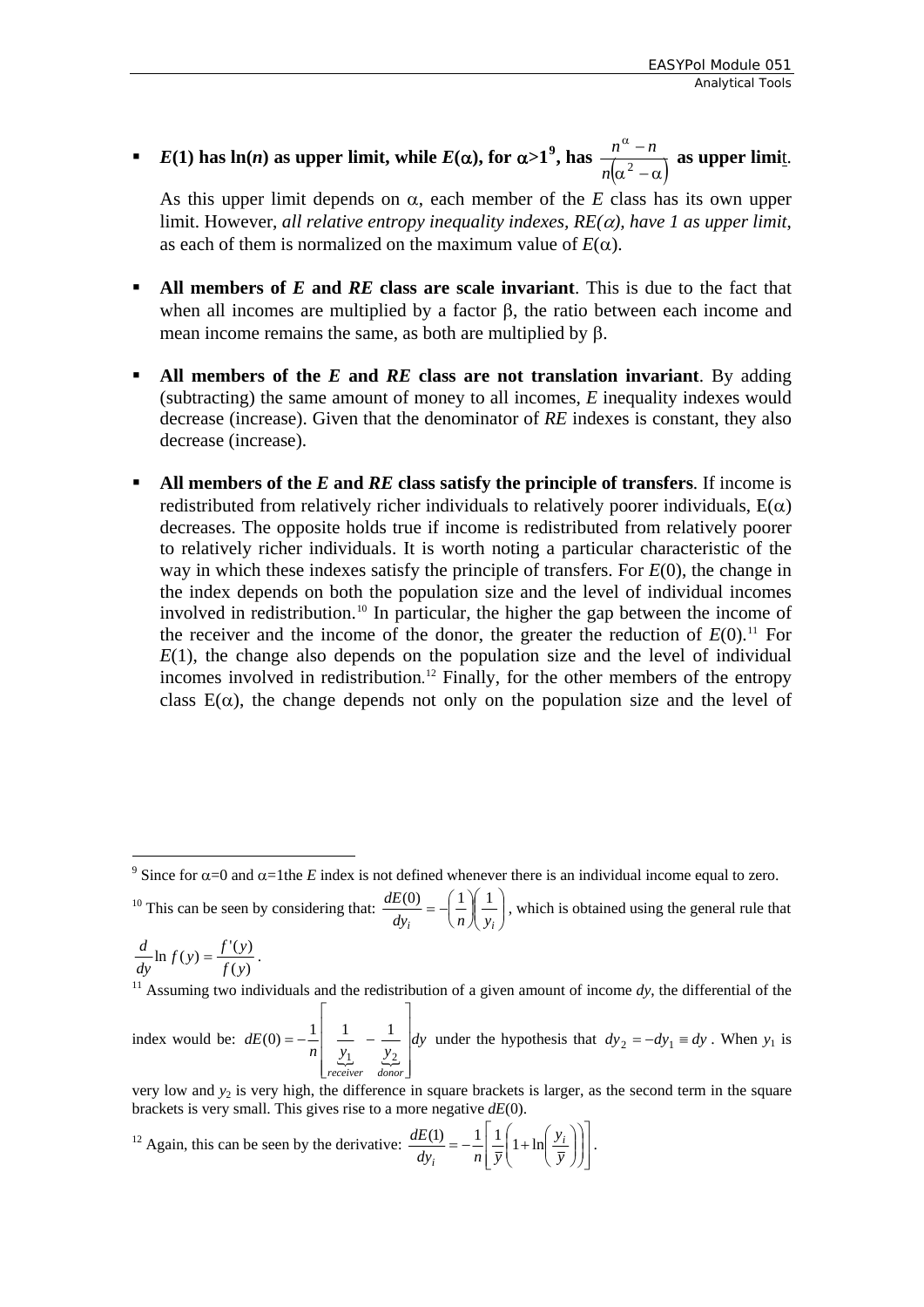**■**  $E(1)$  has ln(*n*) as upper limit, while  $E(\alpha)$ , for  $\alpha > 1^9$  $\alpha > 1^9$ , has  $\frac{n^{\alpha} - n}{n(\alpha^2 - \alpha)}$  $\frac{n^{\alpha}-n}{\alpha}$  as upper limit.

As this upper limit depends on α, each member of the *E* class has its own upper limit. However, *all relative entropy inequality indexes, RE(*α*), have 1 as upper limit*, as each of them is normalized on the maximum value of  $E(\alpha)$ .

- **All members of E and RE class are scale invariant.** This is due to the fact that when all incomes are multiplied by a factor  $\beta$ , the ratio between each income and mean income remains the same, as both are multiplied by β.
- **All members of the** *E* **and** *RE* **class are not translation invariant**. By adding (subtracting) the same amount of money to all incomes, *E* inequality indexes would decrease (increase). Given that the denominator of *RE* indexes is constant, they also decrease (increase).
- **All members of the** *E* **and** *RE* **class satisfy the principle of transfers. If income is** redistributed from relatively richer individuals to relatively poorer individuals,  $E(\alpha)$ decreases. The opposite holds true if income is redistributed from relatively poorer to relatively richer individuals. It is worth noting a particular characteristic of the way in which these indexes satisfy the principle of transfers. For *E*(0), the change in the index depends on both the population size and the level of individual incomes involved in redistribution.<sup>[10](#page-13-1)</sup> In particular, the higher the gap between the income of the receiver and the income of the donor, the greater the reduction of  $E(0)$ .<sup>[11](#page-13-2)</sup> For  $E(1)$ , the change also depends on the population size and the level of individual incomes involved in redistribution. [12](#page-13-3) Finally, for the other members of the entropy class  $E(\alpha)$ , the change depends not only on the population size and the level of

<span id="page-13-1"></span><sup>10</sup> This can be seen by considering that:  $\frac{dE(0)}{dy} = -\left(\frac{1}{n}\right)\frac{1}{y}$ ⎠  $\setminus$  $\parallel$ ⎝  $\mathcal{N}$ ⎠  $\left( \frac{1}{n} \right)$ ⎝  $=$  $dy_i$   $\left\langle n \right\rangle \left\langle y_i \right\rangle$  $\frac{dE(0)}{dt} = -\left(\frac{1}{2}\right)\left(\frac{1}{2}\right)$ , which is obtained using the general rule that

 $\frac{d}{dy}$  ln  $f(y) = \frac{f'(y)}{f(y)}$ .

1

10

<span id="page-13-2"></span><sup>11</sup> Assuming two individuals and the redistribution of a given amount of income  $dy$ , the differential of the

index would be:  ${y_1 \over y_2}$   ${y_2 \over y_1}$  $dE(0) = -\frac{1}{n}\left| \frac{1}{y_1} - \frac{1}{y_2} \right| dy$ *receiver donor*⎥  $\overline{\phantom{a}}$  $\overline{\phantom{a}}$  $\overline{\phantom{a}}$  $\overline{\phantom{a}}$  $\overline{\phantom{a}}$ ⎢  $\mathsf I$  $\mathsf I$  $\mathsf I$ ⎣  $\mathsf I$ −= −  $(0) = -\frac{1}{n} \begin{vmatrix} \frac{1}{y_1} & -\frac{1}{y_2} \end{vmatrix} dy$  under the hypothesis that  $dy_2 = -dy_1 \equiv dy$ . When  $y_1$  is

very low and  $y_2$  is very high, the difference in square brackets is larger, as the second term in the square brackets is very small. This gives rise to a more negative *dE*(0).

<span id="page-13-3"></span> $12$  Again, this can be seen by the derivative:  $\overline{\phantom{a}}$ ⎥  $\overline{\phantom{a}}$ ⎤  $\mathsf I$  $\mathsf I$ ⎣  $\mathsf I$ ⎟ ⎟ ⎠ ⎞  $\parallel$ ⎝  $\big($  $\overline{\phantom{a}}$ ⎠ ⎞  $\parallel$ ⎝  $=-\frac{1}{2}\frac{1}{2}\left(1+\ln\right)$ *y y*  $dy_i$   $n \bar{y}$  $dE(1) = 1 | 1 \nvert_{1 \text{ to } y_i}$ *i*  $\frac{(1)}{2} = -\frac{1}{2} \left| \frac{1}{2} \left( 1 + \ln \left( \frac{y_i}{y_i} \right) \right) \right|.$ 

<span id="page-13-0"></span><sup>&</sup>lt;sup>9</sup> Since for  $\alpha$ =0 and  $\alpha$ =1the *E* index is not defined whenever there is an individual income equal to zero.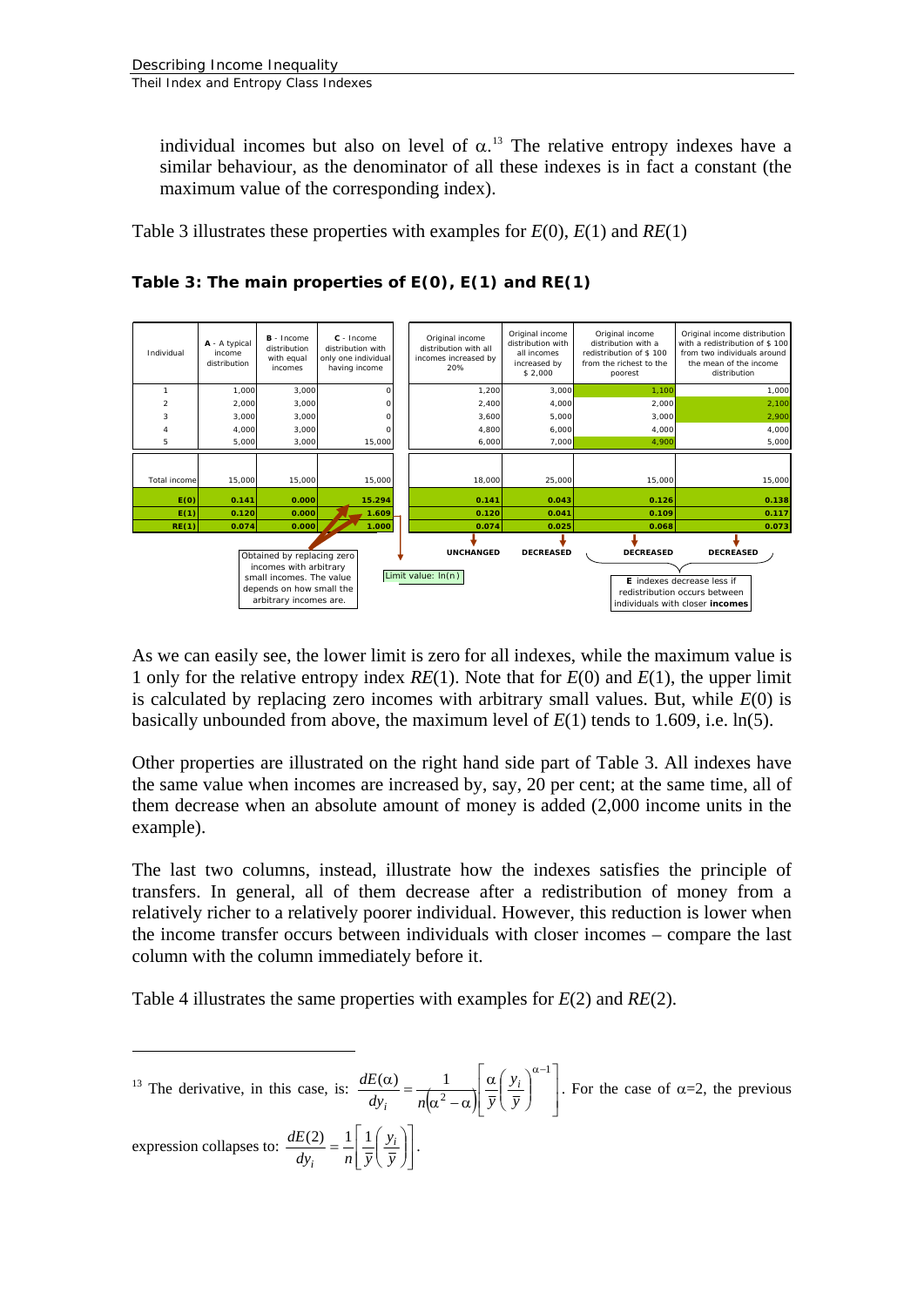individual incomes but also on level of  $\alpha$ <sup>[13](#page-14-0)</sup>. The relative entropy indexes have a similar behaviour, as the denominator of all these indexes is in fact a constant (the maximum value of the corresponding index).

Table 3 illustrates these properties with examples for *E*(0), *E*(1) and *RE*(1)



**Table 3: The main properties of** *E***(0),** *E***(1) and** *RE***(1)** 

As we can easily see, the lower limit is zero for all indexes, while the maximum value is 1 only for the relative entropy index *RE*(1). Note that for *E*(0) and *E*(1), the upper limit is calculated by replacing zero incomes with arbitrary small values. But, while *E*(0) is basically unbounded from above, the maximum level of *E*(1) tends to 1.609, i.e. ln(5).

Other properties are illustrated on the right hand side part of Table 3. All indexes have the same value when incomes are increased by, say, 20 per cent; at the same time, all of them decrease when an absolute amount of money is added (2,000 income units in the example).

The last two columns, instead, illustrate how the indexes satisfies the principle of transfers. In general, all of them decrease after a redistribution of money from a relatively richer to a relatively poorer individual. However, this reduction is lower when the income transfer occurs between individuals with closer incomes – compare the last column with the column immediately before it.

Table 4 illustrates the same properties with examples for *E*(2) and *RE*(2).

<span id="page-14-0"></span>1 <sup>13</sup> The derivative, in this case, is:  $\frac{dE(\alpha)}{dy_i} = \frac{1}{n(\alpha^2 - \alpha)} \frac{\alpha}{y} \frac{y_i}{\overline{y}}$  $\overline{\phantom{a}}$ ⎤  $\mathsf I$  $\mathsf I$ ⎣  $\mathsf I$  $\overline{\phantom{a}}$ ⎠  $\setminus$  $\parallel$ ⎝  $\frac{\alpha}{\alpha_i} = \frac{1}{n(\alpha^2 - \alpha)} \frac{\alpha}{\overline{y}} \left(\frac{y_i}{\overline{y}}\right)^{\alpha - 1}$  $(\alpha)$  1 *y y*  $dy_i$   $n(\alpha^2 - \alpha)$  *y*  $dE(\alpha)$   $\begin{array}{ccc} 1 & \alpha & y_i \end{array}$ *i* . For the case of  $\alpha=2$ , the previous expression collapses to:  $\frac{dE(2)}{dy_i} = \frac{1}{n} \left[ \frac{y_i}{\overline{y}} \right]$  $\overline{\phantom{a}}$ ⎤  $\parallel$ ⎣  $\mathsf I$  $\overline{\phantom{a}}$ ⎠ ⎞  $\overline{\phantom{a}}$  $=\frac{1}{n}\left[\frac{1}{\overline{y}}\left(\frac{y_i}{\overline{y}}\right)\right]$  $dy_i$   $n \bar{y}$  $\frac{dE(2)}{2}$   $\frac{1}{2}$   $\frac{1}{2}$   $\frac{y_i}{y_j}$ *i*  $\frac{(2)}{2} = \frac{1}{2} \left| \frac{1}{2} \left( \frac{y_i}{z} \right) \right|.$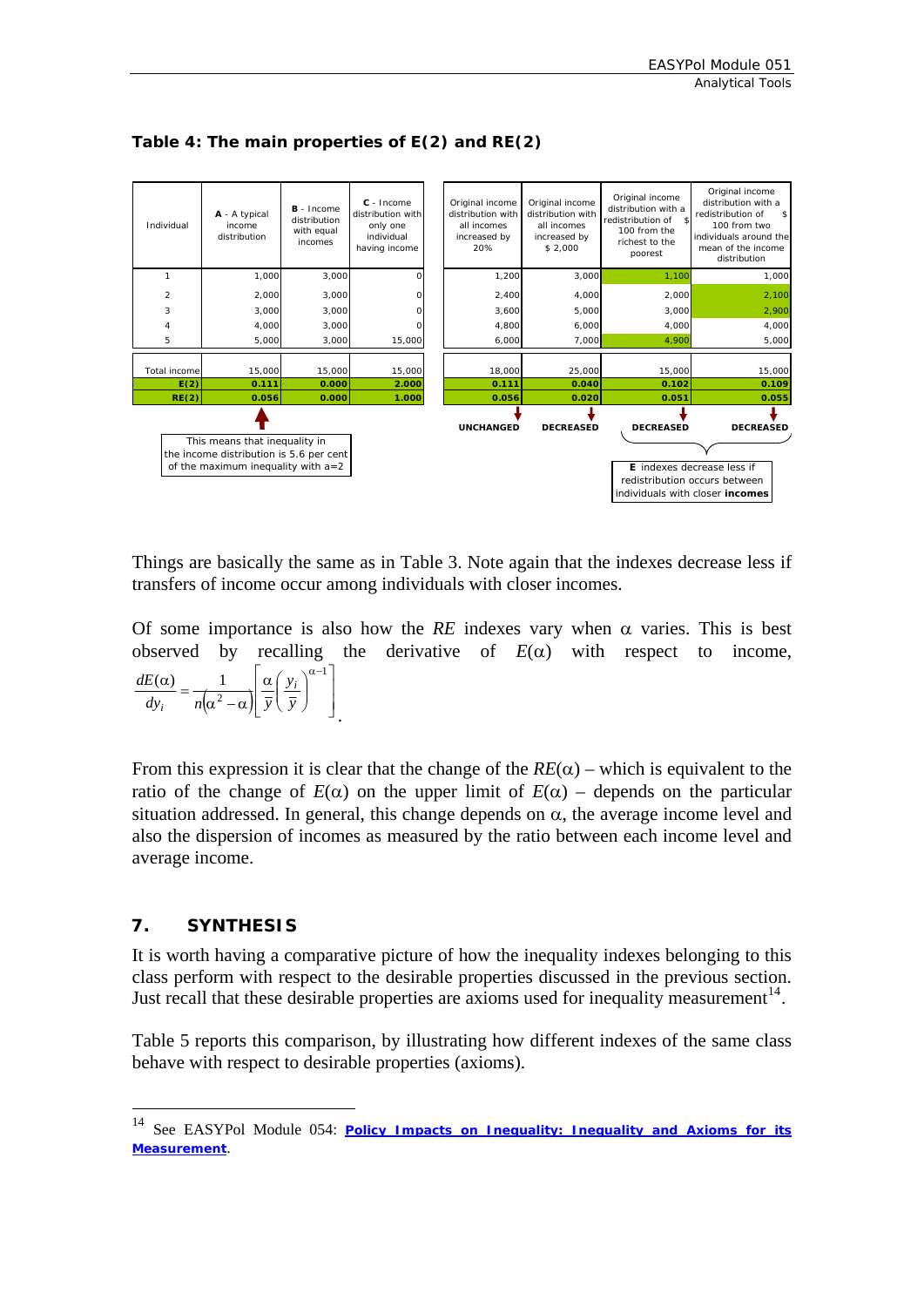

<span id="page-15-0"></span>**Table 4: The main properties of** *E***(2) and** *RE***(2)** 

Things are basically the same as in Table 3. Note again that the indexes decrease less if transfers of income occur among individuals with closer incomes.

Of some importance is also how the  $RE$  indexes vary when  $\alpha$  varies. This is best observed by recalling the derivative of  $E(\alpha)$  with respect to income,  $(\alpha^2 - \alpha) \vert \bar{y} \vert \bar{y}$  | ⎥  $\overline{\phantom{a}}$ ⎤  $\mathsf I$  $\mathsf I$ ⎣  $\mathsf I$  $\overline{\phantom{a}}$ ⎠ ⎞  $\parallel$ ⎝  $\frac{\alpha}{\alpha_i} = \frac{1}{n(\alpha^2 - \alpha)} \frac{\alpha}{\overline{y}} \left(\frac{y_i}{\overline{y}}\right)^{\alpha - 1}$  $(\alpha)$  1 *y y*  $dy_i$   $n(\alpha^2 - \alpha)$   $\bar{y}$  $dE(\alpha)$   $\begin{bmatrix} 1 \\ 0 \end{bmatrix}$   $\alpha \begin{bmatrix} y_i \end{bmatrix}$ *i*  $n(\alpha - \alpha) [y(y)]$ 

From this expression it is clear that the change of the  $RE(\alpha)$  – which is equivalent to the ratio of the change of  $E(\alpha)$  on the upper limit of  $E(\alpha)$  – depends on the particular situation addressed. In general, this change depends on  $\alpha$ , the average income level and also the dispersion of incomes as measured by the ratio between each income level and average income.

#### **7. SYNTHESIS**

1

It is worth having a comparative picture of how the inequality indexes belonging to this class perform with respect to the desirable properties discussed in the previous section. Just recall that these desirable properties are axioms used for inequality measurement<sup>[14](#page-15-1)</sup>.

Table 5 reports this comparison, by illustrating how different indexes of the same class behave with respect to desirable properties (axioms).

<span id="page-15-1"></span><sup>14</sup> See EASYPol Module 054: *[Policy Impacts on Inequality: Inequality and Axioms for its](http://www/docs/up/easypol/447/Inqulty_axms_msrmnt_054EN.pdf)  [Measurement](http://www/docs/up/easypol/447/Inqulty_axms_msrmnt_054EN.pdf)*.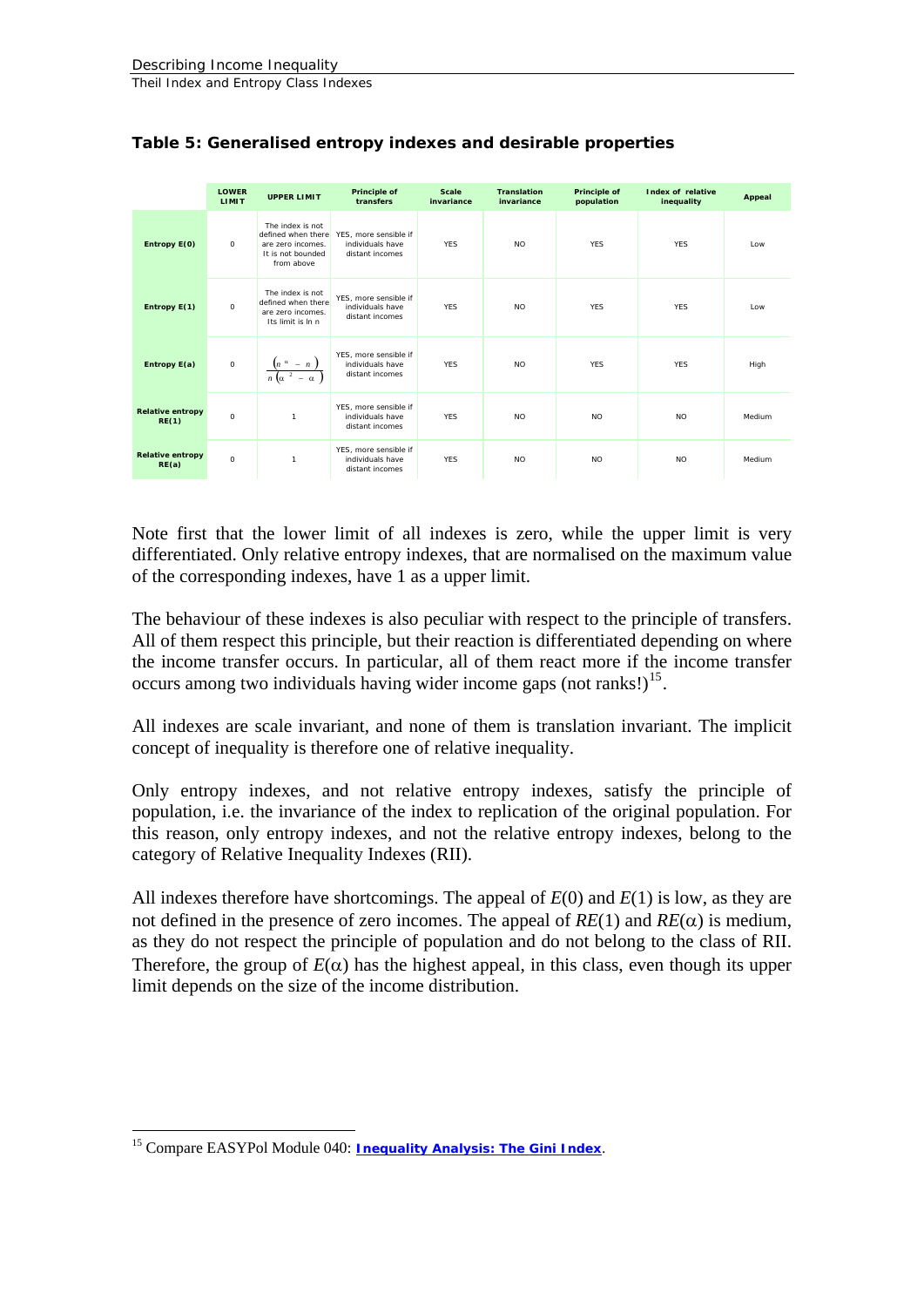|                                  | <b>LOWER</b><br><b>LIMIT</b> | <b>UPPER LIMIT</b>                                                                             | Principle of<br>transfers                                    | <b>Scale</b><br>invariance | <b>Translation</b><br>invariance | Principle of<br>population | Index of relative<br>inequality | Appeal |
|----------------------------------|------------------------------|------------------------------------------------------------------------------------------------|--------------------------------------------------------------|----------------------------|----------------------------------|----------------------------|---------------------------------|--------|
| Entropy E(0)                     | $\circ$                      | The index is not<br>defined when there<br>are zero incomes.<br>It is not bounded<br>from above | YES, more sensible if<br>individuals have<br>distant incomes | <b>YES</b>                 | <b>NO</b>                        | <b>YES</b>                 | <b>YES</b>                      | Low    |
| Entropy E(1)                     | $\circ$                      | The index is not<br>defined when there<br>are zero incomes.<br>Its limit is $ln n$             | YES, more sensible if<br>individuals have<br>distant incomes | <b>YES</b>                 | <b>NO</b>                        | <b>YES</b>                 | <b>YES</b>                      | Low    |
| Entropy E(a)                     | $\circ$                      | $\frac{\left(n \alpha - n\right)}{n \left(\alpha^2 - \alpha\right)}$                           | YES, more sensible if<br>individuals have<br>distant incomes | <b>YES</b>                 | <b>NO</b>                        | <b>YES</b>                 | <b>YES</b>                      | High   |
| <b>Relative entropy</b><br>RE(1) | $\Omega$                     | $\mathbf{1}$                                                                                   | YES, more sensible if<br>individuals have<br>distant incomes | <b>YES</b>                 | <b>NO</b>                        | <b>NO</b>                  | <b>NO</b>                       | Medium |
| <b>Relative entropy</b><br>RE(a) | $\circ$                      | $\mathbf{1}$                                                                                   | YES, more sensible if<br>individuals have<br>distant incomes | <b>YES</b>                 | <b>NO</b>                        | <b>NO</b>                  | <b>NO</b>                       | Medium |

#### **Table 5: Generalised entropy indexes and desirable properties**

Note first that the lower limit of all indexes is zero, while the upper limit is very differentiated. Only relative entropy indexes, that are normalised on the maximum value of the corresponding indexes, have 1 as a upper limit.

The behaviour of these indexes is also peculiar with respect to the principle of transfers. All of them respect this principle, but their reaction is differentiated depending on where the income transfer occurs. In particular, all of them react more if the income transfer occurs among two individuals having wider income gaps (not ranks!)<sup>[15](#page-16-0)</sup>.

All indexes are scale invariant, and none of them is translation invariant. The implicit concept of inequality is therefore one of relative inequality.

Only entropy indexes, and not relative entropy indexes, satisfy the principle of population, i.e. the invariance of the index to replication of the original population. For this reason, only entropy indexes, and not the relative entropy indexes, belong to the category of Relative Inequality Indexes (RII).

All indexes therefore have shortcomings. The appeal of  $E(0)$  and  $E(1)$  is low, as they are not defined in the presence of zero incomes. The appeal of  $RE(1)$  and  $RE(\alpha)$  is medium, as they do not respect the principle of population and do not belong to the class of RII. Therefore, the group of  $E(\alpha)$  has the highest appeal, in this class, even though its upper limit depends on the size of the income distribution.

1

<span id="page-16-0"></span><sup>15</sup> Compare EASYPol Module 040: *[Inequality Analysis: The Gini Index](http://www.fao.org/docs/up/easypol/329/gini_index_040EN.pdf)*.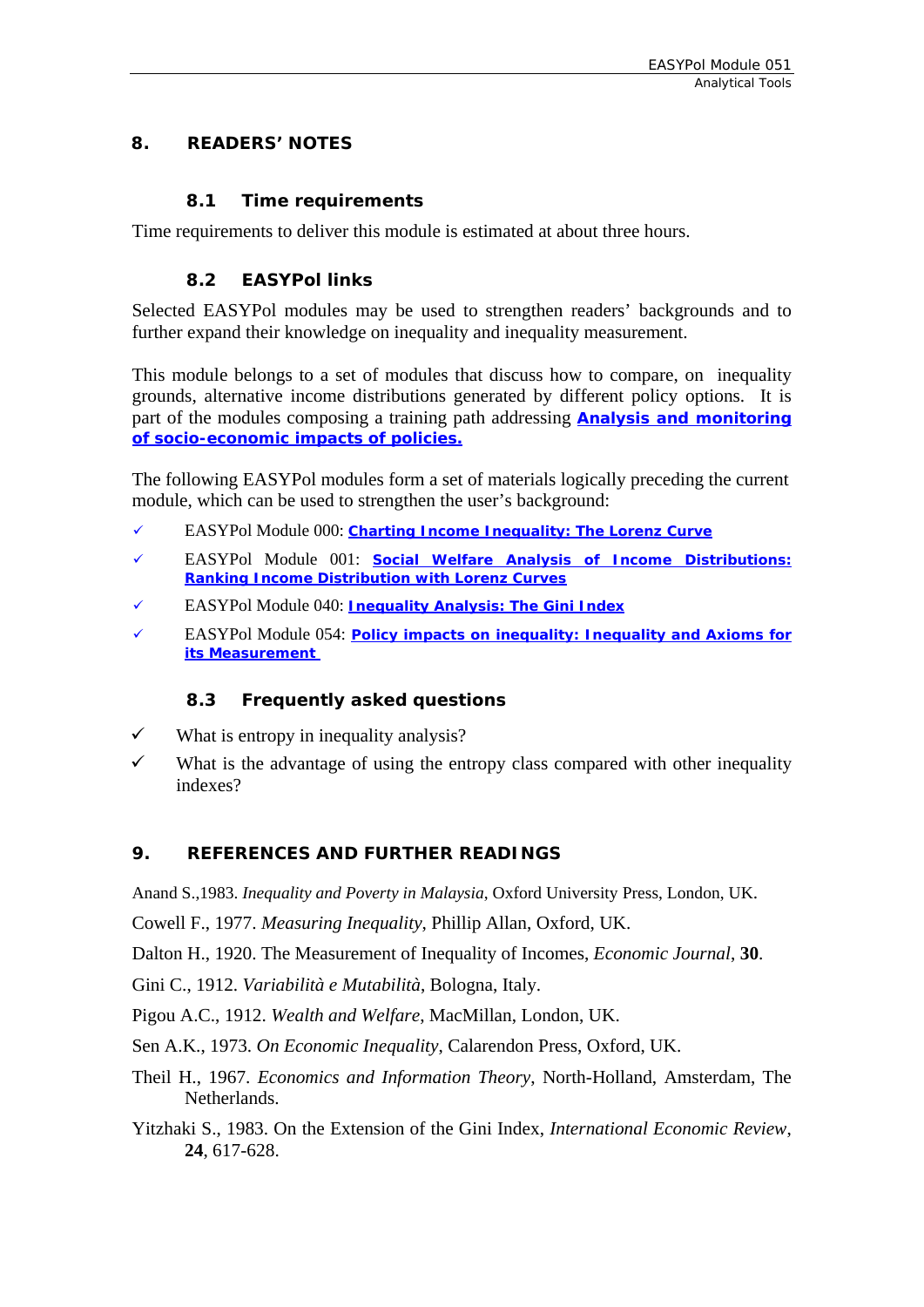#### <span id="page-17-0"></span>**8. READERS' NOTES**

#### **8.1 Time requirements**

Time requirements to deliver this module is estimated at about three hours.

#### **8.2 EASYPol links**

Selected EASYPol modules may be used to strengthen readers' backgrounds and to further expand their knowledge on inequality and inequality measurement.

This module belongs to a set of modules that discuss how to compare, on inequality grounds, alternative income distributions generated by different policy options. It is part of the modules composing a training path addressing **[Analysis and monitoring](http://faointb1/easypol/test/browse_by_training_path.asp##)  [of socio-economic impacts of policies.](http://faointb1/easypol/test/browse_by_training_path.asp##)**

The following EASYPol modules form a set of materials logically preceding the current module, which can be used to strengthen the user's background:

- 9 EASYPol Module 000: *[Charting Income Inequality: The Lorenz Curve](http://www.fao.org/docs/up/easypol/302/charting_income_inequality_000EN.pdf)*
- 9 EASYPol Module 001: *[Social Welfare Analysis of Income Distributions:](http://www.fao.org/docs/up/easypol/305/swa_lorenz_curves_001EN.pdf)  [Ranking Income Distribution with Lorenz Curves](http://www.fao.org/docs/up/easypol/305/swa_lorenz_curves_001EN.pdf)*
- 9 EASYPol Module 040: *[Inequality Analysis: The Gini Index](http://www.fao.org/docs/up/easypol/329/gini_index_040EN.pdf)*
- 9 EASYPol Module 054: *[Policy impacts on inequality: Inequality and Axioms for](http://www/docs/up/easypol/447/Inqulty_axms_msrmnt_054EN.pdf)  [its Measurement](http://www/docs/up/easypol/447/Inqulty_axms_msrmnt_054EN.pdf)*

#### **8.3 Frequently asked questions**

- $\checkmark$  What is entropy in inequality analysis?
- $\checkmark$  What is the advantage of using the entropy class compared with other inequality indexes?

#### **9. REFERENCES AND FURTHER READINGS**

Anand S.,1983. *Inequality and Poverty in Malaysia*, Oxford University Press, London, UK.

Cowell F., 1977. *Measuring Inequality*, Phillip Allan, Oxford, UK.

Dalton H., 1920. The Measurement of Inequality of Incomes, *Economic Journal*, **30**.

Gini C., 1912. *Variabilità e Mutabilità*, Bologna, Italy.

Pigou A.C., 1912. *Wealth and Welfare*, MacMillan, London, UK.

Sen A.K., 1973. *On Economic Inequality*, Calarendon Press, Oxford, UK.

- Theil H., 1967. *Economics and Information Theory*, North-Holland, Amsterdam, The Netherlands.
- Yitzhaki S., 1983. On the Extension of the Gini Index, *International Economic Review*, **24**, 617-628.